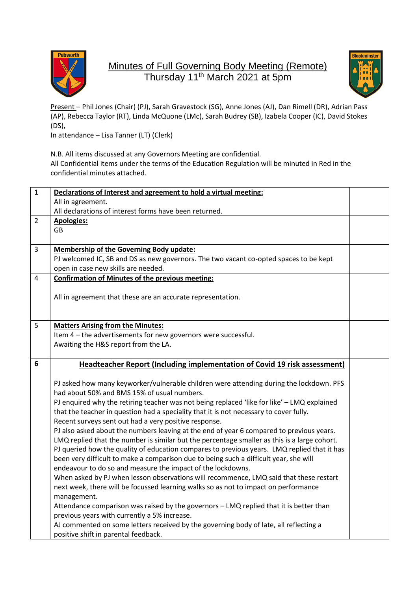

## Minutes of Full Governing Body Meeting (Remote) Thursday 11<sup>th</sup> March 2021 at 5pm



Present – Phil Jones (Chair) (PJ), Sarah Gravestock (SG), Anne Jones (AJ), Dan Rimell (DR), Adrian Pass (AP), Rebecca Taylor (RT), Linda McQuone (LMc), Sarah Budrey (SB), Izabela Cooper (IC), David Stokes (DS),

In attendance – Lisa Tanner (LT) (Clerk)

N.B. All items discussed at any Governors Meeting are confidential. All Confidential items under the terms of the Education Regulation will be minuted in Red in the confidential minutes attached.

| $\mathbf{1}$    | Declarations of Interest and agreement to hold a virtual meeting:                                  |  |
|-----------------|----------------------------------------------------------------------------------------------------|--|
|                 | All in agreement.                                                                                  |  |
|                 | All declarations of interest forms have been returned.                                             |  |
| $\overline{2}$  | <b>Apologies:</b>                                                                                  |  |
|                 | <b>GB</b>                                                                                          |  |
|                 |                                                                                                    |  |
| $\overline{3}$  | <b>Membership of the Governing Body update:</b>                                                    |  |
|                 | PJ welcomed IC, SB and DS as new governors. The two vacant co-opted spaces to be kept              |  |
|                 | open in case new skills are needed.                                                                |  |
| 4               | <b>Confirmation of Minutes of the previous meeting:</b>                                            |  |
|                 |                                                                                                    |  |
|                 | All in agreement that these are an accurate representation.                                        |  |
|                 |                                                                                                    |  |
| 5               | <b>Matters Arising from the Minutes:</b>                                                           |  |
|                 | Item 4 - the advertisements for new governors were successful.                                     |  |
|                 | Awaiting the H&S report from the LA.                                                               |  |
|                 |                                                                                                    |  |
| $6\phantom{1}6$ | <b>Headteacher Report (Including implementation of Covid 19 risk assessment)</b>                   |  |
|                 |                                                                                                    |  |
|                 | PJ asked how many keyworker/vulnerable children were attending during the lockdown. PFS            |  |
|                 | had about 50% and BMS 15% of usual numbers.                                                        |  |
|                 | PJ enquired why the retiring teacher was not being replaced 'like for like' - LMQ explained        |  |
|                 | that the teacher in question had a speciality that it is not necessary to cover fully.             |  |
|                 | Recent surveys sent out had a very positive response.                                              |  |
|                 | PJ also asked about the numbers leaving at the end of year 6 compared to previous years.           |  |
|                 | LMQ replied that the number is similar but the percentage smaller as this is a large cohort.       |  |
|                 | PJ queried how the quality of education compares to previous years. LMQ replied that it has        |  |
|                 | been very difficult to make a comparison due to being such a difficult year, she will              |  |
|                 | endeavour to do so and measure the impact of the lockdowns.                                        |  |
|                 | When asked by PJ when lesson observations will recommence, LMQ said that these restart             |  |
|                 | next week, there will be focussed learning walks so as not to impact on performance<br>management. |  |
|                 | Attendance comparison was raised by the governors - LMQ replied that it is better than             |  |
|                 | previous years with currently a 5% increase.                                                       |  |
|                 | AJ commented on some letters received by the governing body of late, all reflecting a              |  |
|                 | positive shift in parental feedback.                                                               |  |
|                 |                                                                                                    |  |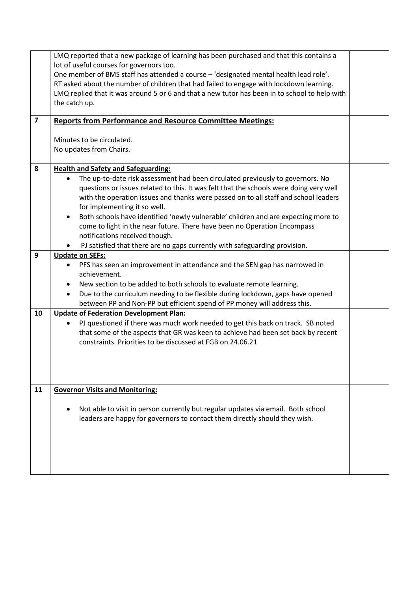|                         | LMQ reported that a new package of learning has been purchased and that this contains a<br>lot of useful courses for governors too.<br>One member of BMS staff has attended a course - 'designated mental health lead role'.<br>RT asked about the number of children that had failed to engage with lockdown learning.<br>LMQ replied that it was around 5 or 6 and that a new tutor has been in to school to help with<br>the catch up.                                                                                                                                                                                                         |  |
|-------------------------|---------------------------------------------------------------------------------------------------------------------------------------------------------------------------------------------------------------------------------------------------------------------------------------------------------------------------------------------------------------------------------------------------------------------------------------------------------------------------------------------------------------------------------------------------------------------------------------------------------------------------------------------------|--|
| $\overline{\mathbf{z}}$ | <b>Reports from Performance and Resource Committee Meetings:</b>                                                                                                                                                                                                                                                                                                                                                                                                                                                                                                                                                                                  |  |
|                         | Minutes to be circulated.<br>No updates from Chairs.                                                                                                                                                                                                                                                                                                                                                                                                                                                                                                                                                                                              |  |
| 8                       | <b>Health and Safety and Safeguarding:</b><br>The up-to-date risk assessment had been circulated previously to governors. No<br>questions or issues related to this. It was felt that the schools were doing very well<br>with the operation issues and thanks were passed on to all staff and school leaders<br>for implementing it so well.<br>Both schools have identified 'newly vulnerable' children and are expecting more to<br>$\bullet$<br>come to light in the near future. There have been no Operation Encompass<br>notifications received though.<br>PJ satisfied that there are no gaps currently with safeguarding provision.<br>٠ |  |
| 9                       | <b>Update on SEFs:</b><br>PFS has seen an improvement in attendance and the SEN gap has narrowed in<br>achievement.<br>New section to be added to both schools to evaluate remote learning.<br>Due to the curriculum needing to be flexible during lockdown, gaps have opened<br>٠<br>between PP and Non-PP but efficient spend of PP money will address this.                                                                                                                                                                                                                                                                                    |  |
| 10                      | <b>Update of Federation Development Plan:</b><br>PJ questioned if there was much work needed to get this back on track. SB noted<br>that some of the aspects that GR was keen to achieve had been set back by recent<br>constraints. Priorities to be discussed at FGB on 24.06.21                                                                                                                                                                                                                                                                                                                                                                |  |
| 11                      | <b>Governor Visits and Monitoring:</b><br>Not able to visit in person currently but regular updates via email. Both school<br>leaders are happy for governors to contact them directly should they wish.                                                                                                                                                                                                                                                                                                                                                                                                                                          |  |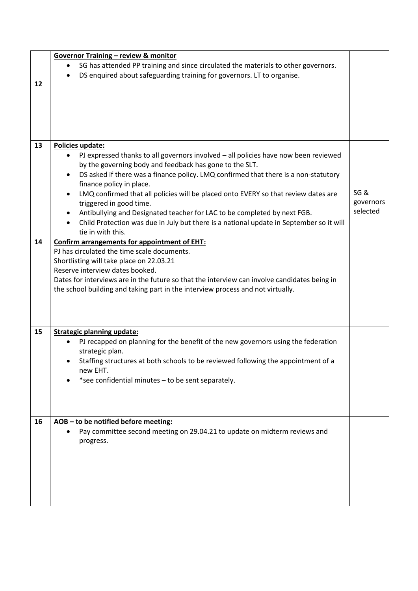|    | <b>Governor Training - review &amp; monitor</b>                                                  |           |
|----|--------------------------------------------------------------------------------------------------|-----------|
|    | SG has attended PP training and since circulated the materials to other governors.               |           |
|    | DS enquired about safeguarding training for governors. LT to organise.                           |           |
| 12 |                                                                                                  |           |
|    |                                                                                                  |           |
|    |                                                                                                  |           |
|    |                                                                                                  |           |
|    |                                                                                                  |           |
|    |                                                                                                  |           |
| 13 | <b>Policies update:</b>                                                                          |           |
|    | PJ expressed thanks to all governors involved - all policies have now been reviewed              |           |
|    | by the governing body and feedback has gone to the SLT.                                          |           |
|    | DS asked if there was a finance policy. LMQ confirmed that there is a non-statutory<br>$\bullet$ |           |
|    | finance policy in place.                                                                         |           |
|    | LMQ confirmed that all policies will be placed onto EVERY so that review dates are<br>$\bullet$  | SG&       |
|    | triggered in good time.                                                                          | governors |
|    | Antibullying and Designated teacher for LAC to be completed by next FGB.                         | selected  |
|    | Child Protection was due in July but there is a national update in September so it will          |           |
|    | tie in with this.                                                                                |           |
| 14 | <b>Confirm arrangements for appointment of EHT:</b>                                              |           |
|    | PJ has circulated the time scale documents.                                                      |           |
|    | Shortlisting will take place on 22.03.21                                                         |           |
|    | Reserve interview dates booked.                                                                  |           |
|    | Dates for interviews are in the future so that the interview can involve candidates being in     |           |
|    | the school building and taking part in the interview process and not virtually.                  |           |
|    |                                                                                                  |           |
|    |                                                                                                  |           |
|    |                                                                                                  |           |
| 15 | <b>Strategic planning update:</b>                                                                |           |
|    | PJ recapped on planning for the benefit of the new governors using the federation                |           |
|    | strategic plan.                                                                                  |           |
|    | Staffing structures at both schools to be reviewed following the appointment of a                |           |
|    | new EHT.                                                                                         |           |
|    | *see confidential minutes - to be sent separately.                                               |           |
|    |                                                                                                  |           |
|    |                                                                                                  |           |
|    |                                                                                                  |           |
|    |                                                                                                  |           |
| 16 | AOB-to be notified before meeting:                                                               |           |
|    | Pay committee second meeting on 29.04.21 to update on midterm reviews and                        |           |
|    | progress.                                                                                        |           |
|    |                                                                                                  |           |
|    |                                                                                                  |           |
|    |                                                                                                  |           |
|    |                                                                                                  |           |
|    |                                                                                                  |           |
|    |                                                                                                  |           |